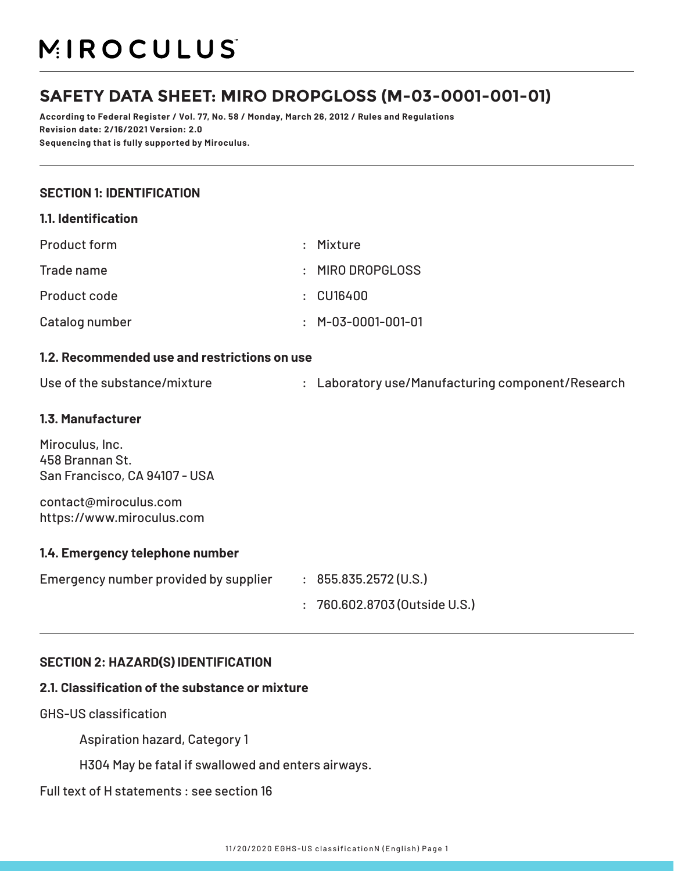# MIROCULUS

## **SAFETY DATA SHEET: MIRO DROPGLOSS (M-03-0001-001-01)**

**According to Federal Register / Vol. 77, No. 58 / Monday, March 26, 2012 / Rules and Regulations Revision date: 2/16/2021 Version: 2.0 Sequencing that is fully supported by Miroculus.**

#### **SECTION 1: IDENTIFICATION**

| 1.1. Identification                                                 |                |                                                   |
|---------------------------------------------------------------------|----------------|---------------------------------------------------|
| <b>Product form</b>                                                 |                | : Mixture                                         |
| Trade name                                                          | $\ddot{\cdot}$ | MIRO DROPGLOSS                                    |
| Product code                                                        | $\ddot{\cdot}$ | <b>CU16400</b>                                    |
| Catalog number                                                      | ٠              | M-03-0001-001-01                                  |
| 1.2. Recommended use and restrictions on use                        |                |                                                   |
| Use of the substance/mixture                                        |                | : Laboratory use/Manufacturing component/Research |
| 1.3. Manufacturer                                                   |                |                                                   |
| Miroculus, Inc.<br>458 Brannan St.<br>San Francisco, CA 94107 - USA |                |                                                   |
| contact@miroculus.com<br>https://www.miroculus.com                  |                |                                                   |
| 1.4. Emergency telephone number                                     |                |                                                   |
| Emergency number provided by supplier : 855.835.2572 (U.S.)         |                |                                                   |
|                                                                     | $\ddot{\cdot}$ | 760.602.8703 (Outside U.S.)                       |

#### **SECTION 2: HAZARD(S) IDENTIFICATION**

#### **2.1. Classification of the substance or mixture**

GHS-US classification

Aspiration hazard, Category 1

H304 May be fatal if swallowed and enters airways.

#### Full text of H statements : see section 16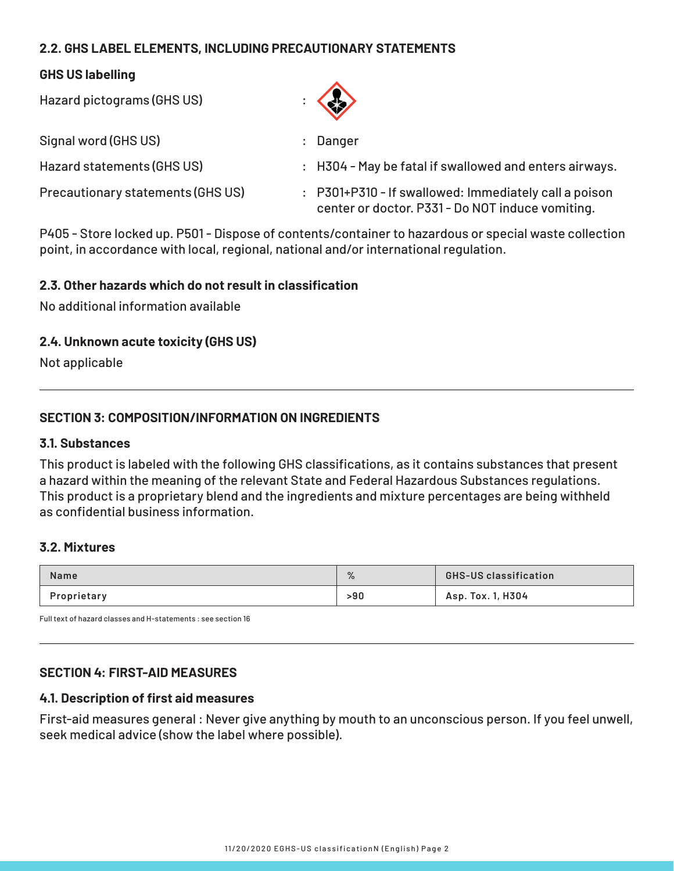## **2.2. GHS LABEL ELEMENTS, INCLUDING PRECAUTIONARY STATEMENTS**

#### **GHS US labelling**

Hazard pictograms (GHS US) : Signal word (GHS US) and the state of the state of the Signal word (GHS US) and the state of the Signal Signal Signal Signal Signal Signal Signal Signal Signal Signal Signal Signal Signal Signal Signal Signal Signal Signal Hazard statements (GHS US) : H304 - May be fatal if swallowed and enters airways. Precautionary statements (GHS US) : P301+P310 - If swallowed: Immediately call a poison center or doctor. P331 - Do NOT induce vomiting.

P405 - Store locked up. P501 - Dispose of contents/container to hazardous or special waste collection point, in accordance with local, regional, national and/or international regulation.

#### **2.3. Other hazards which do not result in classification**

No additional information available

#### **2.4. Unknown acute toxicity (GHS US)**

Not applicable

#### **SECTION 3: COMPOSITION/INFORMATION ON INGREDIENTS**

#### **3.1. Substances**

This product is labeled with the following GHS classifications, as it contains substances that present a hazard within the meaning of the relevant State and Federal Hazardous Substances regulations. This product is a proprietary blend and the ingredients and mixture percentages are being withheld as confidential business information.

#### **3.2. Mixtures**

| <b>Name</b> | $\sqrt{2}$ | <b>GHS-US classification</b> |
|-------------|------------|------------------------------|
| Proprietary | >90        | Asp. Tox. 1, H304            |

Full text of hazard classes and H-statements : see section 16

#### **SECTION 4: FIRST-AID MEASURES**

#### **4.1. Description of first aid measures**

First-aid measures general : Never give anything by mouth to an unconscious person. If you feel unwell, seek medical advice (show the label where possible).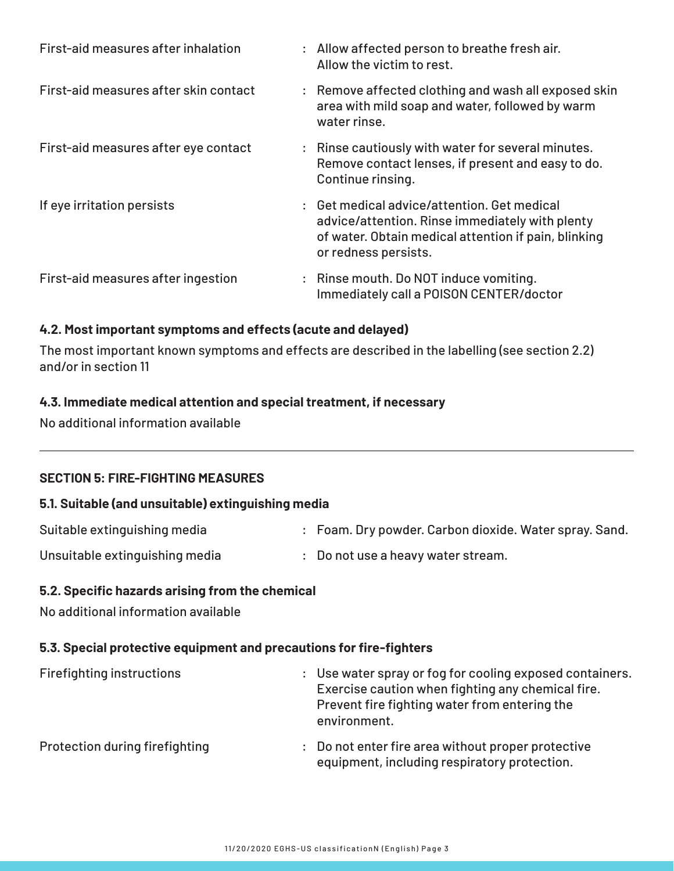| First-aid measures after inhalation   | : Allow affected person to breathe fresh air.<br>Allow the victim to rest.                                                                                                     |
|---------------------------------------|--------------------------------------------------------------------------------------------------------------------------------------------------------------------------------|
| First-aid measures after skin contact | : Remove affected clothing and wash all exposed skin<br>area with mild soap and water, followed by warm<br>water rinse.                                                        |
| First-aid measures after eye contact  | : Rinse cautiously with water for several minutes.<br>Remove contact lenses, if present and easy to do.<br>Continue rinsing.                                                   |
| If eye irritation persists            | : Get medical advice/attention. Get medical<br>advice/attention. Rinse immediately with plenty<br>of water. Obtain medical attention if pain, blinking<br>or redness persists. |
| First-aid measures after ingestion    | : Rinse mouth. Do NOT induce vomiting.<br>Immediately call a POISON CENTER/doctor                                                                                              |

## **4.2. Most important symptoms and effects (acute and delayed)**

The most important known symptoms and effects are described in the labelling (see section 2.2) and/or in section 11

#### **4.3. Immediate medical attention and special treatment, if necessary**

No additional information available

#### **SECTION 5: FIRE-FIGHTING MEASURES**

#### **5.1. Suitable (and unsuitable) extinguishing media**

| Suitable extinguishing media | : Foam. Dry powder. Carbon dioxide. Water spray. Sand. |
|------------------------------|--------------------------------------------------------|
|                              |                                                        |

Unsuitable extinguishing media : Do not use a heavy water stream.

#### **5.2. Specific hazards arising from the chemical**

No additional information available

#### **5.3. Special protective equipment and precautions for fire-fighters**

| <b>Firefighting instructions</b> | environment. | : Use water spray or fog for cooling exposed containers.<br>Exercise caution when fighting any chemical fire.<br>Prevent fire fighting water from entering the |
|----------------------------------|--------------|----------------------------------------------------------------------------------------------------------------------------------------------------------------|
| Protection during firefighting   |              | : Do not enter fire area without proper protective<br>equipment, including respiratory protection.                                                             |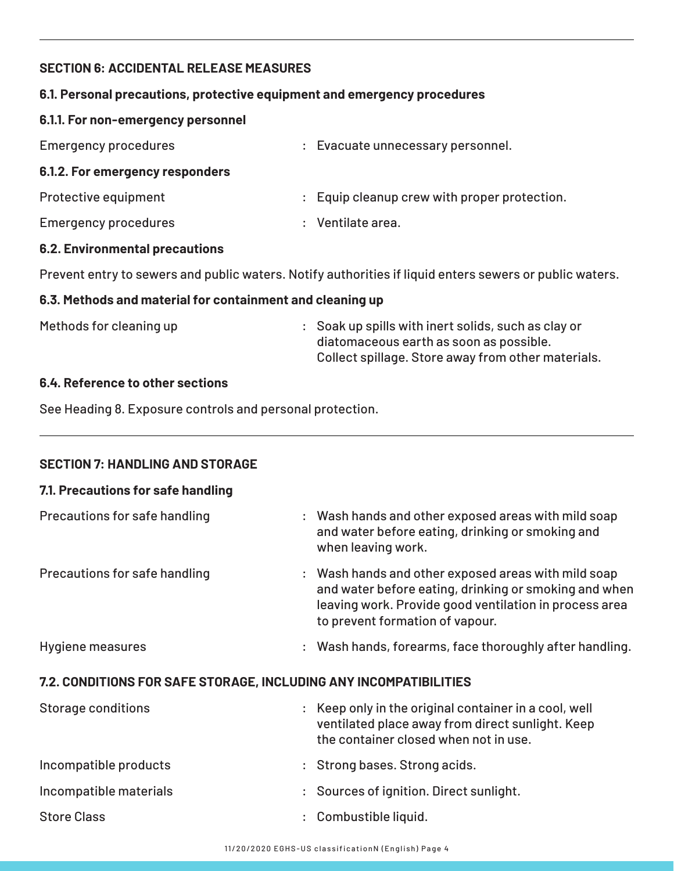## **SECTION 6: ACCIDENTAL RELEASE MEASURES**

#### **6.1. Personal precautions, protective equipment and emergency procedures**

#### **6.1.1. For non-emergency personnel**

| <b>Emergency procedures</b>            | : Evacuate unnecessary personnel.            |
|----------------------------------------|----------------------------------------------|
| 6.1.2. For emergency responders        |                                              |
| Protective equipment                   | : Equip cleanup crew with proper protection. |
| <b>Emergency procedures</b>            | : Ventilate area.                            |
| <b>CO</b> Existence and almost and and |                                              |

#### **6.2. Environmental precautions**

Prevent entry to sewers and public waters. Notify authorities if liquid enters sewers or public waters.

#### **6.3. Methods and material for containment and cleaning up**

Methods for cleaning up **Example 20** Soak up spills with inert solids, such as clay or diatomaceous earth as soon as possible. Collect spillage. Store away from other materials.

#### **6.4. Reference to other sections**

See Heading 8. Exposure controls and personal protection.

## **SECTION 7: HANDLING AND STORAGE**

#### **7.1. Precautions for safe handling**

| Precautions for safe handling                                     |  | : Wash hands and other exposed areas with mild soap<br>and water before eating, drinking or smoking and<br>when leaving work.                                                                             |
|-------------------------------------------------------------------|--|-----------------------------------------------------------------------------------------------------------------------------------------------------------------------------------------------------------|
| Precautions for safe handling                                     |  | : Wash hands and other exposed areas with mild soap<br>and water before eating, drinking or smoking and when<br>leaving work. Provide good ventilation in process area<br>to prevent formation of vapour. |
| <b>Hygiene measures</b>                                           |  | : Wash hands, forearms, face thoroughly after handling.                                                                                                                                                   |
| 7.2. CONDITIONS FOR SAFE STORAGE, INCLUDING ANY INCOMPATIBILITIES |  |                                                                                                                                                                                                           |
| <b>Storage conditions</b>                                         |  | : Keep only in the original container in a cool, well<br>ventilated place away from direct sunlight. Keep                                                                                                 |

|                        | <u>Velitilated place away from ull ect sumquit. Recj</u><br>the container closed when not in use. |
|------------------------|---------------------------------------------------------------------------------------------------|
| Incompatible products  | : Strong bases. Strong acids.                                                                     |
| Incompatible materials | : Sources of ignition. Direct sunlight.                                                           |
| <b>Store Class</b>     | : Combustible liquid.                                                                             |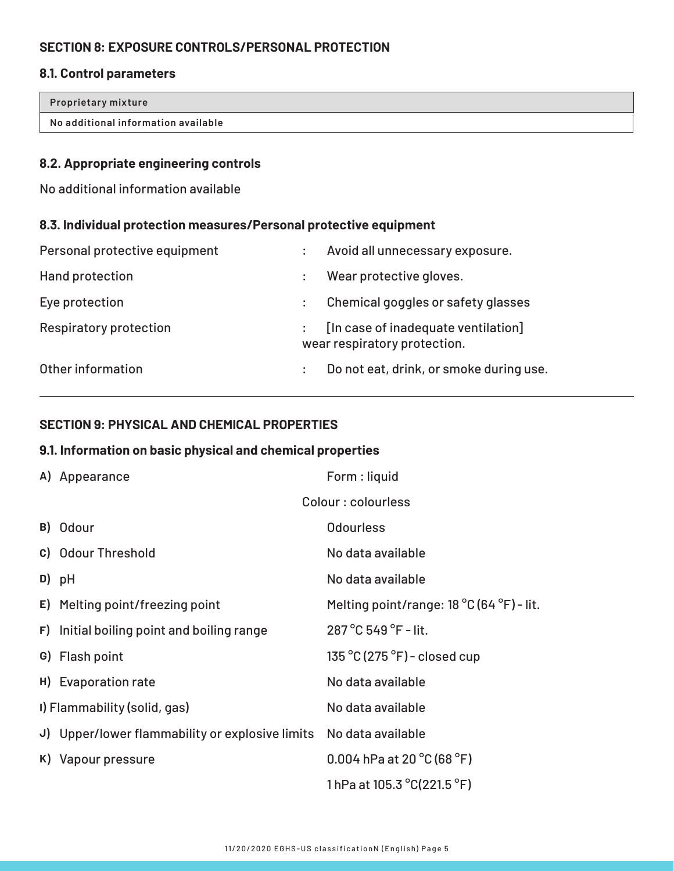## **SECTION 8: EXPOSURE CONTROLS/PERSONAL PROTECTION**

## **8.1. Control parameters**

| Proprietary mixture                 |  |
|-------------------------------------|--|
| No additional information available |  |
|                                     |  |

#### **8.2. Appropriate engineering controls**

No additional information available

#### **8.3. Individual protection measures/Personal protective equipment**

| Personal protective equipment | $\ddot{\cdot}$       | Avoid all unnecessary exposure.                                     |
|-------------------------------|----------------------|---------------------------------------------------------------------|
| Hand protection               |                      | Wear protective gloves.                                             |
| Eye protection                | $\ddot{\cdot}$       | Chemical goggles or safety glasses                                  |
| <b>Respiratory protection</b> | $\ddot{\phantom{a}}$ | [In case of inadequate ventilation]<br>wear respiratory protection. |
| Other information             | $\ddot{\cdot}$       | Do not eat, drink, or smoke during use.                             |

## **SECTION 9: PHYSICAL AND CHEMICAL PROPERTIES**

## **9.1. Information on basic physical and chemical properties**

|    | A) Appearance                                   | Form : liquid                                      |
|----|-------------------------------------------------|----------------------------------------------------|
|    |                                                 | Colour: colourless                                 |
|    | B) Odour                                        | <b>Odourless</b>                                   |
|    | c) Odour Threshold                              | No data available                                  |
|    | D) pH                                           | No data available                                  |
|    | E) Melting point/freezing point                 | Melting point/range: 18 °C (64 °F) - lit.          |
|    | F) Initial boiling point and boiling range      | 287 °C 549 °F - lit.                               |
|    | G) Flash point                                  | $135\,^{\circ}$ C $(275\,^{\circ}$ F) – closed cup |
|    | H) Evaporation rate                             | No data available                                  |
|    | I) Flammability (solid, gas)                    | No data available                                  |
|    | J) Upper/lower flammability or explosive limits | No data available                                  |
| K) | Vapour pressure                                 | 0.004 hPa at 20 $^{\circ}$ C (68 $^{\circ}$ F)     |
|    |                                                 | 1 hPa at 105.3 $^{\circ}$ C(221.5 $^{\circ}$ F)    |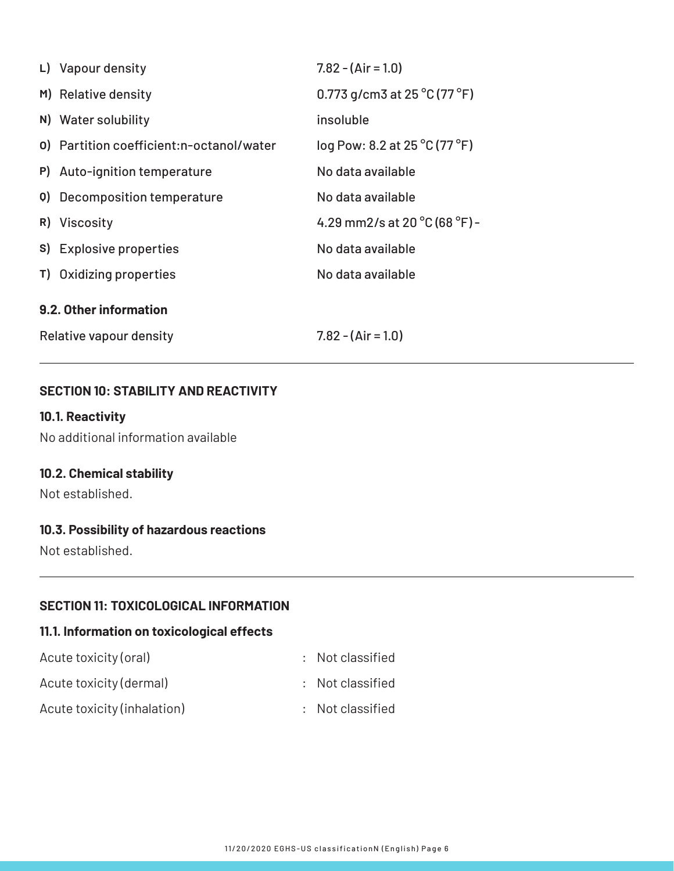| L) Vapour density                         | $7.82 - (Air = 1.0)$                              |
|-------------------------------------------|---------------------------------------------------|
| M) Relative density                       | 0.773 g/cm3 at $25\,^{\circ}$ C (77 $^{\circ}$ F) |
| N) Water solubility                       | insoluble                                         |
| 0) Partition coefficient: n-octanol/water | log Pow: 8.2 at 25 °C (77 °F)                     |
| P) Auto-ignition temperature              | No data available                                 |
| 0) Decomposition temperature              | No data available                                 |
| R) Viscosity                              | 4.29 mm2/s at 20 $^{\circ}$ C (68 $^{\circ}$ F) - |
| S) Explosive properties                   | No data available                                 |
| T) Oxidizing properties                   | No data available                                 |
| 9.2. Other information                    |                                                   |
| Relative vapour density                   | $7.82 - (Air = 1.0)$                              |

#### **SECTION 10: STABILITY AND REACTIVITY**

## **10.1. Reactivity**

No additional information available

## **10.2. Chemical stability**

Not established.

## **10.3. Possibility of hazardous reactions**

Not established.

#### **SECTION 11: TOXICOLOGICAL INFORMATION**

## **11.1. Information on toxicological effects**

| Acute toxicity (oral)       | : Not classified |
|-----------------------------|------------------|
| Acute toxicity (dermal)     | : Not classified |
| Acute toxicity (inhalation) | : Not classified |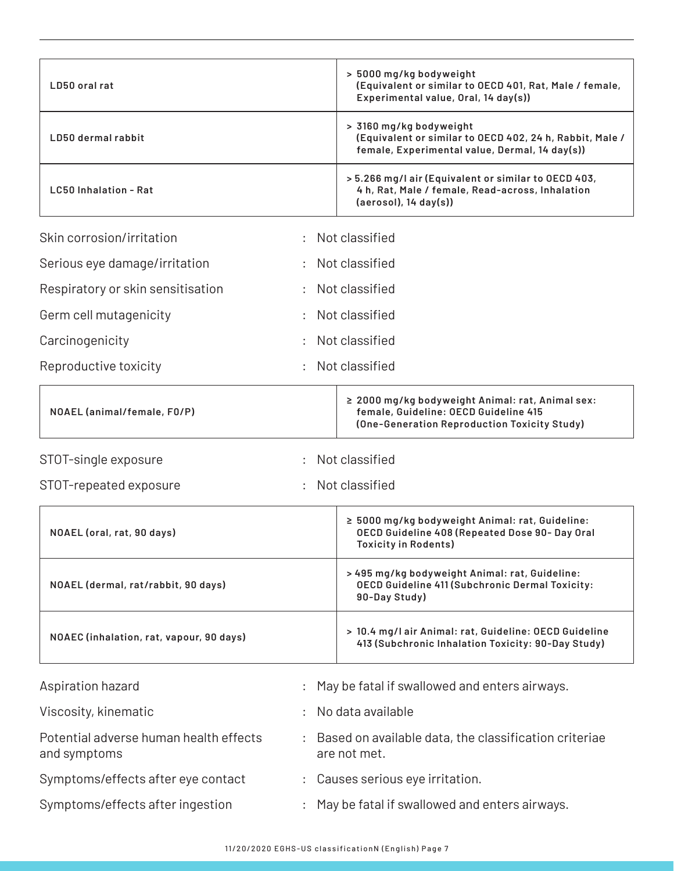| LD50 oral rat                                          |   |                | > 5000 mg/kg bodyweight<br>(Equivalent or similar to OECD 401, Rat, Male / female,<br>Experimental value, Oral, 14 day(s))                |
|--------------------------------------------------------|---|----------------|-------------------------------------------------------------------------------------------------------------------------------------------|
| LD50 dermal rabbit                                     |   |                | > 3160 mg/kg bodyweight<br>(Equivalent or similar to OECD 402, 24 h, Rabbit, Male /<br>female, Experimental value, Dermal, 14 day(s))     |
| LC50 Inhalation - Rat                                  |   |                | > 5.266 mg/l air (Equivalent or similar to OECD 403,<br>4 h, Rat, Male / female, Read-across, Inhalation<br>$(aerosol)$ , 14 day $(s)$ )  |
| Skin corrosion/irritation                              | ÷ | Not classified |                                                                                                                                           |
| Serious eye damage/irritation                          |   | Not classified |                                                                                                                                           |
| Respiratory or skin sensitisation                      |   | Not classified |                                                                                                                                           |
| Germ cell mutagenicity                                 |   | Not classified |                                                                                                                                           |
| Carcinogenicity                                        |   | Not classified |                                                                                                                                           |
| Reproductive toxicity                                  |   | Not classified |                                                                                                                                           |
| NOAEL (animal/female, F0/P)                            |   |                | ≥ 2000 mg/kg bodyweight Animal: rat, Animal sex:<br>female, Guideline: OECD Guideline 415<br>(One-Generation Reproduction Toxicity Study) |
| STOT-single exposure                                   | ÷ | Not classified |                                                                                                                                           |
| STOT-repeated exposure                                 |   | Not classified |                                                                                                                                           |
| NOAEL (oral, rat, 90 days)                             |   |                | ≥ 5000 mg/kg bodyweight Animal: rat, Guideline:<br>OECD Guideline 408 (Repeated Dose 90- Day Oral<br><b>Toxicity in Rodents)</b>          |
| NOAEL (dermal, rat/rabbit, 90 days)                    |   |                | > 495 mg/kg bodyweight Animal: rat, Guideline:<br>OECD Guideline 411 (Subchronic Dermal Toxicity:<br>90-Day Study)                        |
| NOAEC (inhalation, rat, vapour, 90 days)               |   |                | > 10.4 mg/l air Animal: rat, Guideline: OECD Guideline<br>413 (Subchronic Inhalation Toxicity: 90-Day Study)                              |
| Aspiration hazard                                      |   |                | May be fatal if swallowed and enters airways.                                                                                             |
| Viscosity, kinematic                                   |   |                | No data available                                                                                                                         |
| Potential adverse human health effects<br>and symptoms |   | are not met.   | Based on available data, the classification criteriae                                                                                     |
| Symptoms/effects after eye contact                     |   |                | Causes serious eye irritation.                                                                                                            |
| Symptoms/effects after ingestion                       |   |                | May be fatal if swallowed and enters airways.                                                                                             |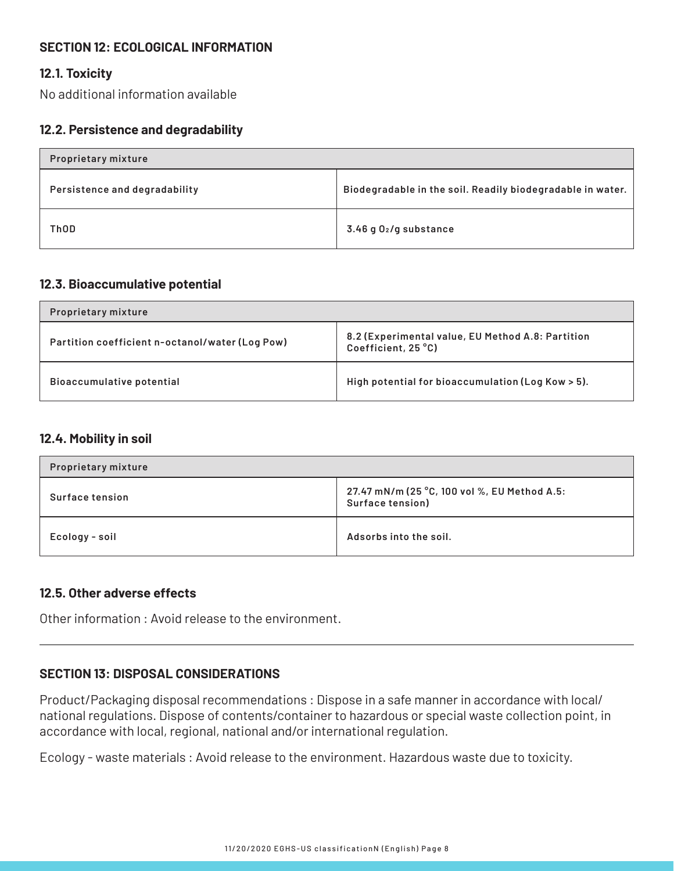## **SECTION 12: ECOLOGICAL INFORMATION**

#### **12.1. Toxicity**

No additional information available

#### **12.2. Persistence and degradability**

| <b>Proprietary mixture</b>    |                                                            |  |
|-------------------------------|------------------------------------------------------------|--|
| Persistence and degradability | Biodegradable in the soil. Readily biodegradable in water. |  |
| <b>ThOD</b>                   | $3.46$ g $02$ /g substance                                 |  |

#### **12.3. Bioaccumulative potential**

| <b>Proprietary mixture</b>                      |                                                                          |
|-------------------------------------------------|--------------------------------------------------------------------------|
| Partition coefficient n-octanol/water (Log Pow) | 8.2 (Experimental value, EU Method A.8: Partition<br>Coefficient, 25 °C) |
| Bioaccumulative potential                       | High potential for bioaccumulation (Log Kow > 5).                        |

#### **12.4. Mobility in soil**

| <b>Proprietary mixture</b> |                                                                  |
|----------------------------|------------------------------------------------------------------|
| <b>Surface tension</b>     | 27.47 mN/m (25 °C, 100 vol %, EU Method A.5:<br>Surface tension) |
| Ecology - soil             | Adsorbs into the soil.                                           |

#### **12.5. Other adverse effects**

Other information : Avoid release to the environment.

#### **SECTION 13: DISPOSAL CONSIDERATIONS**

Product/Packaging disposal recommendations : Dispose in a safe manner in accordance with local/ national regulations. Dispose of contents/container to hazardous or special waste collection point, in accordance with local, regional, national and/or international regulation.

Ecology - waste materials : Avoid release to the environment. Hazardous waste due to toxicity.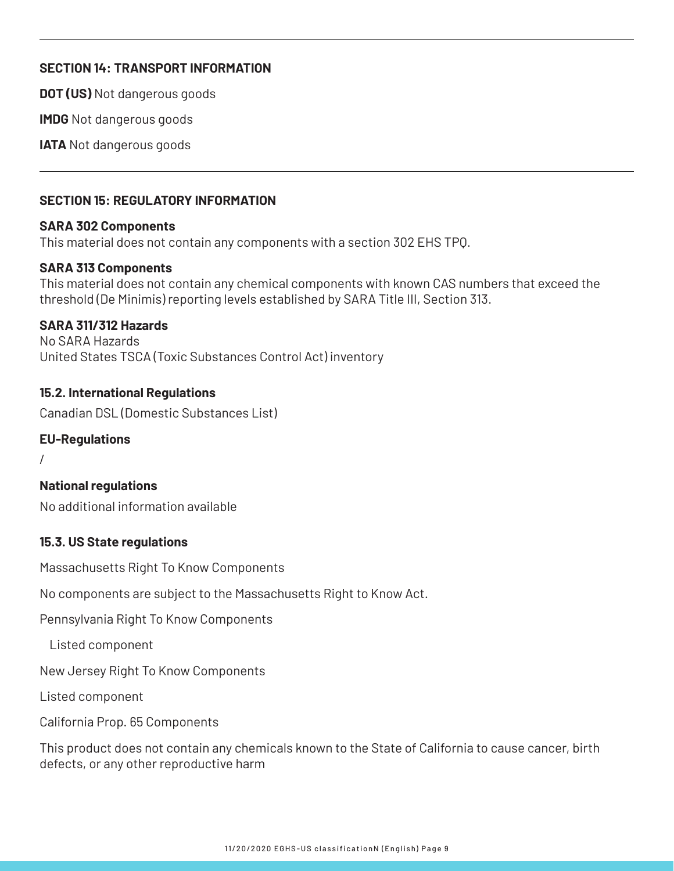## **SECTION 14: TRANSPORT INFORMATION**

**DOT (US)** Not dangerous goods

**IMDG** Not dangerous goods

**IATA** Not dangerous goods

#### **SECTION 15: REGULATORY INFORMATION**

#### **SARA 302 Components**

This material does not contain any components with a section 302 EHS TPQ.

## **SARA 313 Components**

This material does not contain any chemical components with known CAS numbers that exceed the threshold (De Minimis) reporting levels established by SARA Title III, Section 313.

#### **SARA 311/312 Hazards**

No SARA Hazards United States TSCA (Toxic Substances Control Act) inventory

#### **15.2. International Regulations**

Canadian DSL (Domestic Substances List)

#### **EU-Regulations**

/

#### **National regulations**

No additional information available

#### **15.3. US State regulations**

Massachusetts Right To Know Components

No components are subject to the Massachusetts Right to Know Act.

Pennsylvania Right To Know Components

Listed component

New Jersey Right To Know Components

Listed component

California Prop. 65 Components

This product does not contain any chemicals known to the State of California to cause cancer, birth defects, or any other reproductive harm